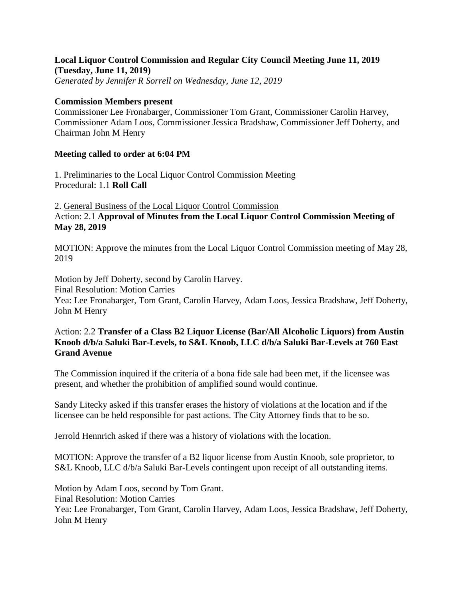# **Local Liquor Control Commission and Regular City Council Meeting June 11, 2019 (Tuesday, June 11, 2019)**

*Generated by Jennifer R Sorrell on Wednesday, June 12, 2019*

#### **Commission Members present**

Commissioner Lee Fronabarger, Commissioner Tom Grant, Commissioner Carolin Harvey, Commissioner Adam Loos, Commissioner Jessica Bradshaw, Commissioner Jeff Doherty, and Chairman John M Henry

## **Meeting called to order at 6:04 PM**

1. Preliminaries to the Local Liquor Control Commission Meeting Procedural: 1.1 **Roll Call**

2. General Business of the Local Liquor Control Commission Action: 2.1 **Approval of Minutes from the Local Liquor Control Commission Meeting of May 28, 2019**

MOTION: Approve the minutes from the Local Liquor Control Commission meeting of May 28, 2019

Motion by Jeff Doherty, second by Carolin Harvey.

Final Resolution: Motion Carries

Yea: Lee Fronabarger, Tom Grant, Carolin Harvey, Adam Loos, Jessica Bradshaw, Jeff Doherty, John M Henry

### Action: 2.2 **Transfer of a Class B2 Liquor License (Bar/All Alcoholic Liquors) from Austin Knoob d/b/a Saluki Bar-Levels, to S&L Knoob, LLC d/b/a Saluki Bar-Levels at 760 East Grand Avenue**

The Commission inquired if the criteria of a bona fide sale had been met, if the licensee was present, and whether the prohibition of amplified sound would continue.

Sandy Litecky asked if this transfer erases the history of violations at the location and if the licensee can be held responsible for past actions. The City Attorney finds that to be so.

Jerrold Hennrich asked if there was a history of violations with the location.

MOTION: Approve the transfer of a B2 liquor license from Austin Knoob, sole proprietor, to S&L Knoob, LLC d/b/a Saluki Bar-Levels contingent upon receipt of all outstanding items.

Motion by Adam Loos, second by Tom Grant. Final Resolution: Motion Carries Yea: Lee Fronabarger, Tom Grant, Carolin Harvey, Adam Loos, Jessica Bradshaw, Jeff Doherty, John M Henry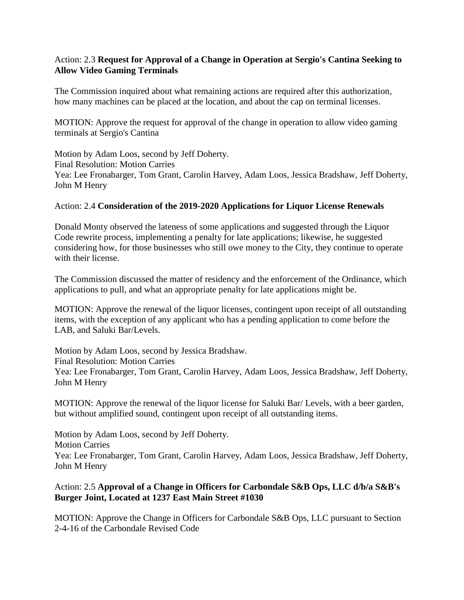### Action: 2.3 **Request for Approval of a Change in Operation at Sergio's Cantina Seeking to Allow Video Gaming Terminals**

The Commission inquired about what remaining actions are required after this authorization, how many machines can be placed at the location, and about the cap on terminal licenses.

MOTION: Approve the request for approval of the change in operation to allow video gaming terminals at Sergio's Cantina

Motion by Adam Loos, second by Jeff Doherty. Final Resolution: Motion Carries Yea: Lee Fronabarger, Tom Grant, Carolin Harvey, Adam Loos, Jessica Bradshaw, Jeff Doherty, John M Henry

#### Action: 2.4 **Consideration of the 2019-2020 Applications for Liquor License Renewals**

Donald Monty observed the lateness of some applications and suggested through the Liquor Code rewrite process, implementing a penalty for late applications; likewise, he suggested considering how, for those businesses who still owe money to the City, they continue to operate with their license.

The Commission discussed the matter of residency and the enforcement of the Ordinance, which applications to pull, and what an appropriate penalty for late applications might be.

MOTION: Approve the renewal of the liquor licenses, contingent upon receipt of all outstanding items, with the exception of any applicant who has a pending application to come before the LAB, and Saluki Bar/Levels.

Motion by Adam Loos, second by Jessica Bradshaw. Final Resolution: Motion Carries Yea: Lee Fronabarger, Tom Grant, Carolin Harvey, Adam Loos, Jessica Bradshaw, Jeff Doherty, John M Henry

MOTION: Approve the renewal of the liquor license for Saluki Bar/ Levels, with a beer garden, but without amplified sound, contingent upon receipt of all outstanding items.

Motion by Adam Loos, second by Jeff Doherty. Motion Carries Yea: Lee Fronabarger, Tom Grant, Carolin Harvey, Adam Loos, Jessica Bradshaw, Jeff Doherty, John M Henry

## Action: 2.5 **Approval of a Change in Officers for Carbondale S&B Ops, LLC d/b/a S&B's Burger Joint, Located at 1237 East Main Street #1030**

MOTION: Approve the Change in Officers for Carbondale S&B Ops, LLC pursuant to Section 2-4-16 of the Carbondale Revised Code